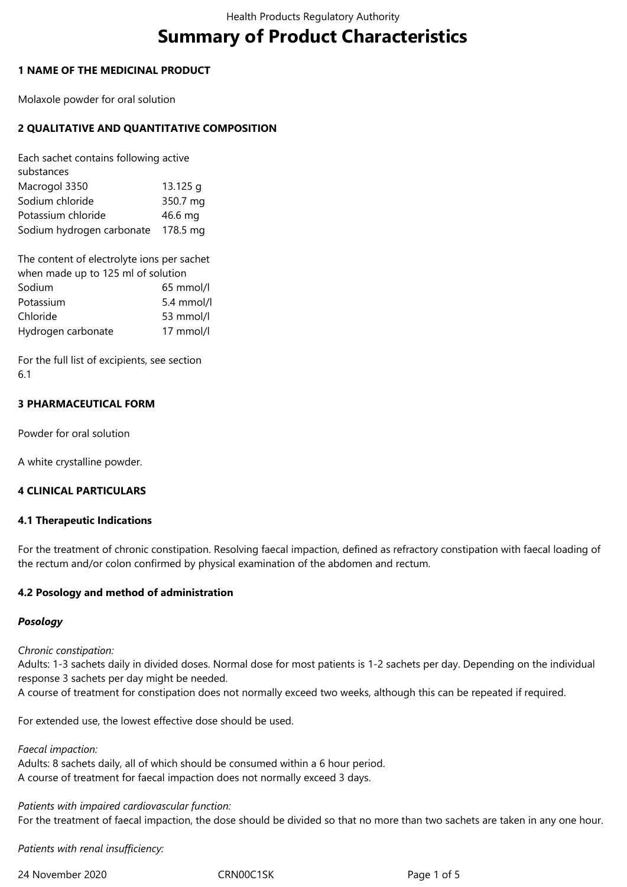# **Summary of Product Characteristics**

## **1 NAME OF THE MEDICINAL PRODUCT**

Molaxole powder for oral solution

## **2 QUALITATIVE AND QUANTITATIVE COMPOSITION**

Each sachet contains following active substances Macrogol 3350 13.125 g Sodium chloride 350.7 mg Potassium chloride 46.6 mg Sodium hydrogen carbonate 178.5 mg

The content of electrolyte ions per sachet when made up to 125 ml of solution Sodium 65 mmol/l Potassium 5.4 mmol/l Chloride 53 mmol/l Hydrogen carbonate 17 mmol/l

For the full list of excipients, see section 6.1

## **3 PHARMACEUTICAL FORM**

Powder for oral solution

A white crystalline powder.

## **4 CLINICAL PARTICULARS**

## **4.1 Therapeutic Indications**

For the treatment of chronic constipation. Resolving faecal impaction, defined as refractory constipation with faecal loading of the rectum and/or colon confirmed by physical examination of the abdomen and rectum.

## **4.2 Posology and method of administration**

## *Posology*

## *Chronic constipation:*

Adults: 1-3 sachets daily in divided doses. Normal dose for most patients is 1-2 sachets per day. Depending on the individual response 3 sachets per day might be needed.

A course of treatment for constipation does not normally exceed two weeks, although this can be repeated if required.

For extended use, the lowest effective dose should be used.

#### *Faecal impaction:*

Adults: 8 sachets daily, all of which should be consumed within a 6 hour period. A course of treatment for faecal impaction does not normally exceed 3 days.

*Patients with impaired cardiovascular function:* For the treatment of faecal impaction, the dose should be divided so that no more than two sachets are taken in any one hour.

*Patients with renal insufficiency:*

24 November 2020 CRN00C1SK Page 1 of 5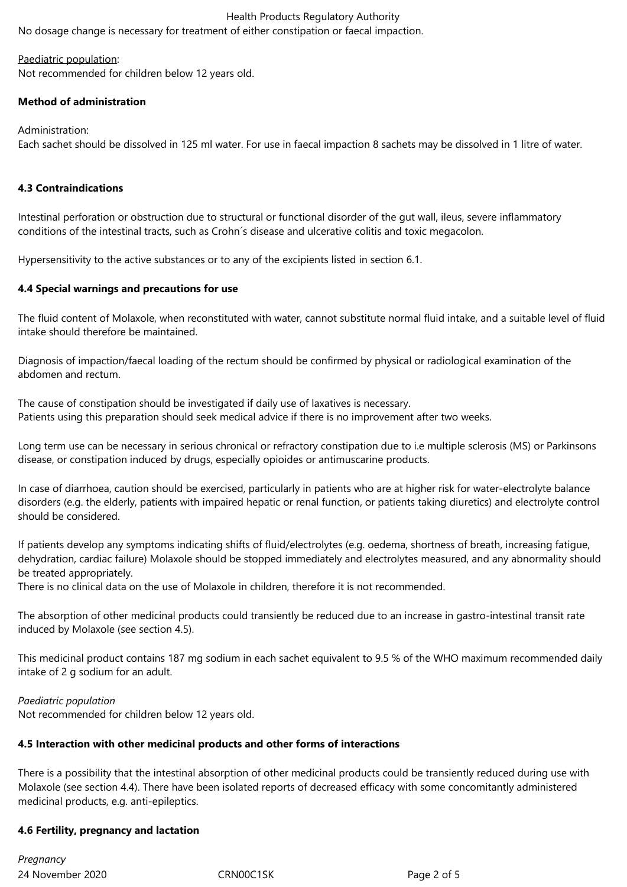No dosage change is necessary for treatment of either constipation or faecal impaction.

#### Paediatric population:

Not recommended for children below 12 years old.

## **Method of administration**

#### Administration:

Each sachet should be dissolved in 125 ml water. For use in faecal impaction 8 sachets may be dissolved in 1 litre of water.

## **4.3 Contraindications**

Intestinal perforation or obstruction due to structural or functional disorder of the gut wall, ileus, severe inflammatory conditions of the intestinal tracts, such as Crohn´s disease and ulcerative colitis and toxic megacolon.

Hypersensitivity to the active substances or to any of the excipients listed in section 6.1.

## **4.4 Special warnings and precautions for use**

The fluid content of Molaxole, when reconstituted with water, cannot substitute normal fluid intake, and a suitable level of fluid intake should therefore be maintained.

Diagnosis of impaction/faecal loading of the rectum should be confirmed by physical or radiological examination of the abdomen and rectum.

The cause of constipation should be investigated if daily use of laxatives is necessary. Patients using this preparation should seek medical advice if there is no improvement after two weeks.

Long term use can be necessary in serious chronical or refractory constipation due to i.e multiple sclerosis (MS) or Parkinsons disease, or constipation induced by drugs, especially opioides or antimuscarine products.

In case of diarrhoea, caution should be exercised, particularly in patients who are at higher risk for water-electrolyte balance disorders (e.g. the elderly, patients with impaired hepatic or renal function, or patients taking diuretics) and electrolyte control should be considered.

If patients develop any symptoms indicating shifts of fluid/electrolytes (e.g. oedema, shortness of breath, increasing fatigue, dehydration, cardiac failure) Molaxole should be stopped immediately and electrolytes measured, and any abnormality should be treated appropriately.

There is no clinical data on the use of Molaxole in children, therefore it is not recommended.

The absorption of other medicinal products could transiently be reduced due to an increase in gastro-intestinal transit rate induced by Molaxole (see section 4.5).

This medicinal product contains 187 mg sodium in each sachet equivalent to 9.5 % of the WHO maximum recommended daily intake of 2 g sodium for an adult.

## *Paediatric population*

Not recommended for children below 12 years old.

## **4.5 Interaction with other medicinal products and other forms of interactions**

There is a possibility that the intestinal absorption of other medicinal products could be transiently reduced during use with Molaxole (see section 4.4). There have been isolated reports of decreased efficacy with some concomitantly administered medicinal products, e.g. anti-epileptics.

## **4.6 Fertility, pregnancy and lactation**

24 November 2020 CRN00C1SK Page 2 of 5 *Pregnancy*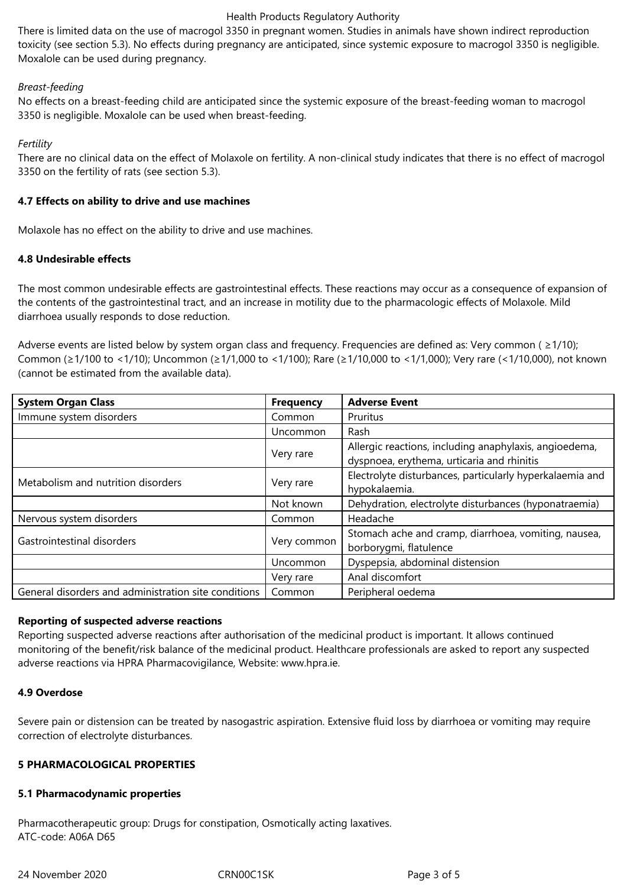There is limited data on the use of macrogol 3350 in pregnant women. Studies in animals have shown indirect reproduction toxicity (see section 5.3). No effects during pregnancy are anticipated, since systemic exposure to macrogol 3350 is negligible. Moxalole can be used during pregnancy.

## *Breast-feeding*

No effects on a breast-feeding child are anticipated since the systemic exposure of the breast-feeding woman to macrogol 3350 is negligible. Moxalole can be used when breast-feeding.

## *Fertility*

There are no clinical data on the effect of Molaxole on fertility. A non-clinical study indicates that there is no effect of macrogol 3350 on the fertility of rats (see section 5.3).

## **4.7 Effects on ability to drive and use machines**

Molaxole has no effect on the ability to drive and use machines.

## **4.8 Undesirable effects**

The most common undesirable effects are gastrointestinal effects. These reactions may occur as a consequence of expansion of the contents of the gastrointestinal tract, and an increase in motility due to the pharmacologic effects of Molaxole. Mild diarrhoea usually responds to dose reduction.

Adverse events are listed below by system organ class and frequency. Frequencies are defined as: Very common ( $\geq 1/10$ ); Common (≥1/100 to <1/10); Uncommon (≥1/1,000 to <1/100); Rare (≥1/10,000 to <1/1,000); Very rare (<1/10,000), not known (cannot be estimated from the available data).

| <b>System Organ Class</b>                            | <b>Frequency</b> | <b>Adverse Event</b>                                                                                 |
|------------------------------------------------------|------------------|------------------------------------------------------------------------------------------------------|
| Immune system disorders                              | Common           | Pruritus                                                                                             |
|                                                      | Uncommon         | Rash                                                                                                 |
|                                                      | Very rare        | Allergic reactions, including anaphylaxis, angioedema,<br>dyspnoea, erythema, urticaria and rhinitis |
| Metabolism and nutrition disorders                   | Very rare        | Electrolyte disturbances, particularly hyperkalaemia and<br>hypokalaemia.                            |
|                                                      | Not known        | Dehydration, electrolyte disturbances (hyponatraemia)                                                |
| Nervous system disorders                             | Common           | Headache                                                                                             |
| Gastrointestinal disorders                           | Very common      | Stomach ache and cramp, diarrhoea, vomiting, nausea,<br>borborygmi, flatulence                       |
|                                                      | Uncommon         | Dyspepsia, abdominal distension                                                                      |
|                                                      | Very rare        | Anal discomfort                                                                                      |
| General disorders and administration site conditions | Common           | Peripheral oedema                                                                                    |

## **Reporting of suspected adverse reactions**

Reporting suspected adverse reactions after authorisation of the medicinal product is important. It allows continued monitoring of the benefit/risk balance of the medicinal product. Healthcare professionals are asked to report any suspected adverse reactions via HPRA Pharmacovigilance, Website: www.hpra.ie.

## **4.9 Overdose**

Severe pain or distension can be treated by nasogastric aspiration. Extensive fluid loss by diarrhoea or vomiting may require correction of electrolyte disturbances.

## **5 PHARMACOLOGICAL PROPERTIES**

## **5.1 Pharmacodynamic properties**

Pharmacotherapeutic group: Drugs for constipation, Osmotically acting laxatives. ATC-code: A06A D65

24 November 2020 CRN00C1SK Page 3 of 5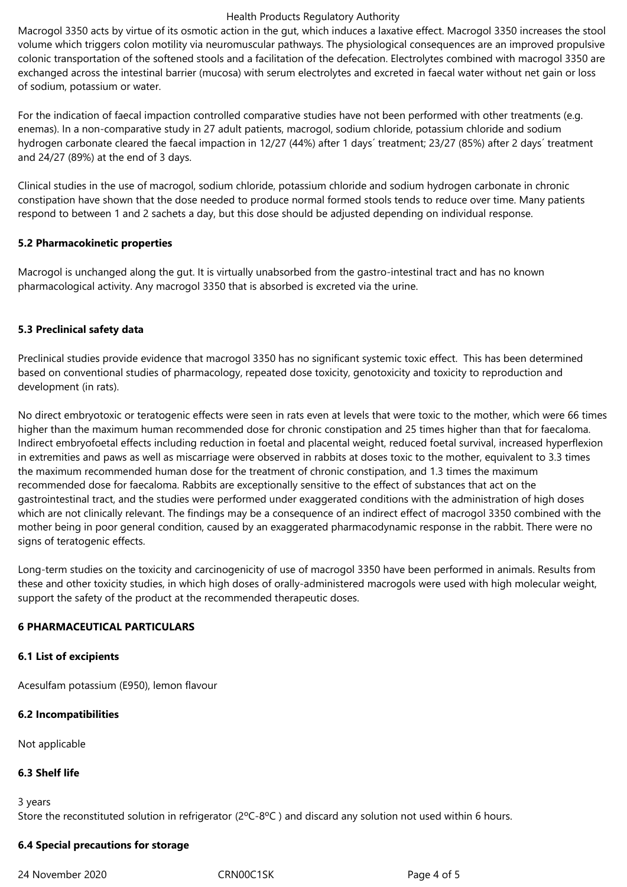Macrogol 3350 acts by virtue of its osmotic action in the gut, which induces a laxative effect. Macrogol 3350 increases the stool volume which triggers colon motility via neuromuscular pathways. The physiological consequences are an improved propulsive colonic transportation of the softened stools and a facilitation of the defecation. Electrolytes combined with macrogol 3350 are exchanged across the intestinal barrier (mucosa) with serum electrolytes and excreted in faecal water without net gain or loss of sodium, potassium or water.

For the indication of faecal impaction controlled comparative studies have not been performed with other treatments (e.g. enemas). In a non-comparative study in 27 adult patients, macrogol, sodium chloride, potassium chloride and sodium hydrogen carbonate cleared the faecal impaction in 12/27 (44%) after 1 days´ treatment; 23/27 (85%) after 2 days´ treatment and 24/27 (89%) at the end of 3 days.

Clinical studies in the use of macrogol, sodium chloride, potassium chloride and sodium hydrogen carbonate in chronic constipation have shown that the dose needed to produce normal formed stools tends to reduce over time. Many patients respond to between 1 and 2 sachets a day, but this dose should be adjusted depending on individual response.

## **5.2 Pharmacokinetic properties**

Macrogol is unchanged along the gut. It is virtually unabsorbed from the gastro-intestinal tract and has no known pharmacological activity. Any macrogol 3350 that is absorbed is excreted via the urine.

## **5.3 Preclinical safety data**

Preclinical studies provide evidence that macrogol 3350 has no significant systemic toxic effect. This has been determined based on conventional studies of pharmacology, repeated dose toxicity, genotoxicity and toxicity to reproduction and development (in rats).

No direct embryotoxic or teratogenic effects were seen in rats even at levels that were toxic to the mother, which were 66 times higher than the maximum human recommended dose for chronic constipation and 25 times higher than that for faecaloma. Indirect embryofoetal effects including reduction in foetal and placental weight, reduced foetal survival, increased hyperflexion in extremities and paws as well as miscarriage were observed in rabbits at doses toxic to the mother, equivalent to 3.3 times the maximum recommended human dose for the treatment of chronic constipation, and 1.3 times the maximum recommended dose for faecaloma. Rabbits are exceptionally sensitive to the effect of substances that act on the gastrointestinal tract, and the studies were performed under exaggerated conditions with the administration of high doses which are not clinically relevant. The findings may be a consequence of an indirect effect of macrogol 3350 combined with the mother being in poor general condition, caused by an exaggerated pharmacodynamic response in the rabbit. There were no signs of teratogenic effects.

Long-term studies on the toxicity and carcinogenicity of use of macrogol 3350 have been performed in animals. Results from these and other toxicity studies, in which high doses of orally-administered macrogols were used with high molecular weight, support the safety of the product at the recommended therapeutic doses.

## **6 PHARMACEUTICAL PARTICULARS**

## **6.1 List of excipients**

Acesulfam potassium (E950), lemon flavour

# **6.2 Incompatibilities**

Not applicable

# **6.3 Shelf life**

3 years

Store the reconstituted solution in refrigerator (2ºC-8ºC ) and discard any solution not used within 6 hours.

# **6.4 Special precautions for storage**

24 November 2020 CRN00C1SK Page 4 of 5